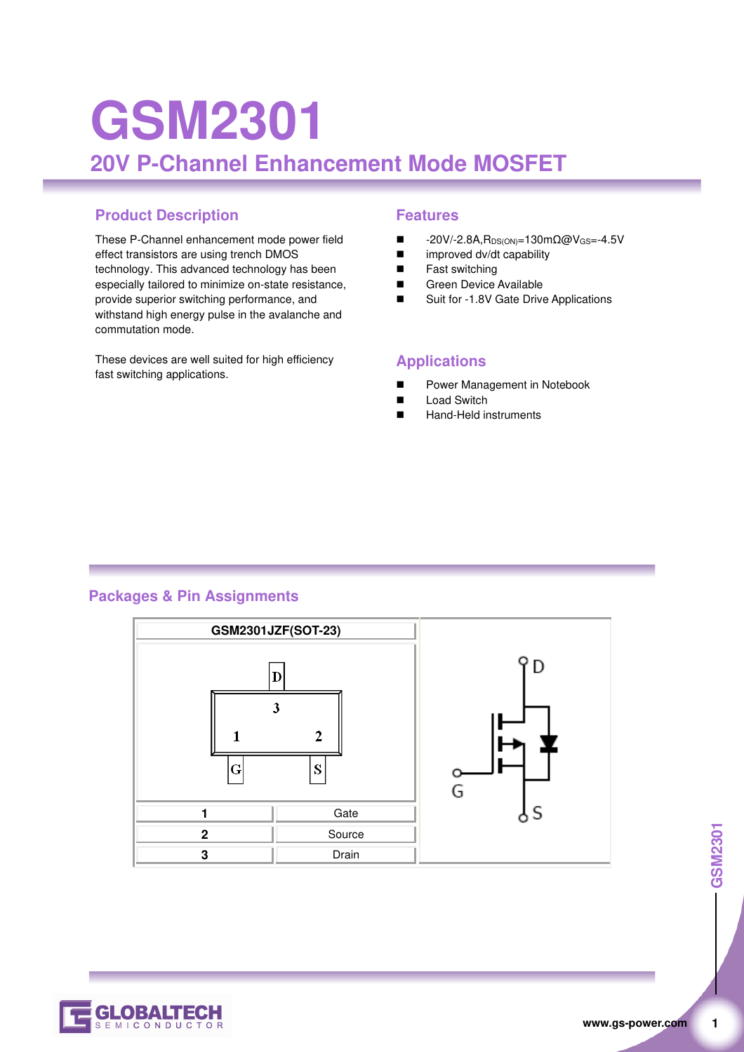# **GSM2301 20V P-Channel Enhancement Mode MOSFET**

### **Product Description Features**

These P-Channel enhancement mode power field effect transistors are using trench DMOS technology. This advanced technology has been especially tailored to minimize on-state resistance, provide superior switching performance, and withstand high energy pulse in the avalanche and commutation mode.

These devices are well suited for high efficiency fast switching applications.

- -20V/-2.8A, R<sub>DS(ON)</sub>=130mΩ@V<sub>GS</sub>=-4.5V
- improved dv/dt capability
- Fast switching
- Green Device Available
- Suit for -1.8V Gate Drive Applications

#### **Applications**

- Power Management in Notebook
- Load Switch
- Hand-Held instruments

#### **Packages & Pin Assignments**



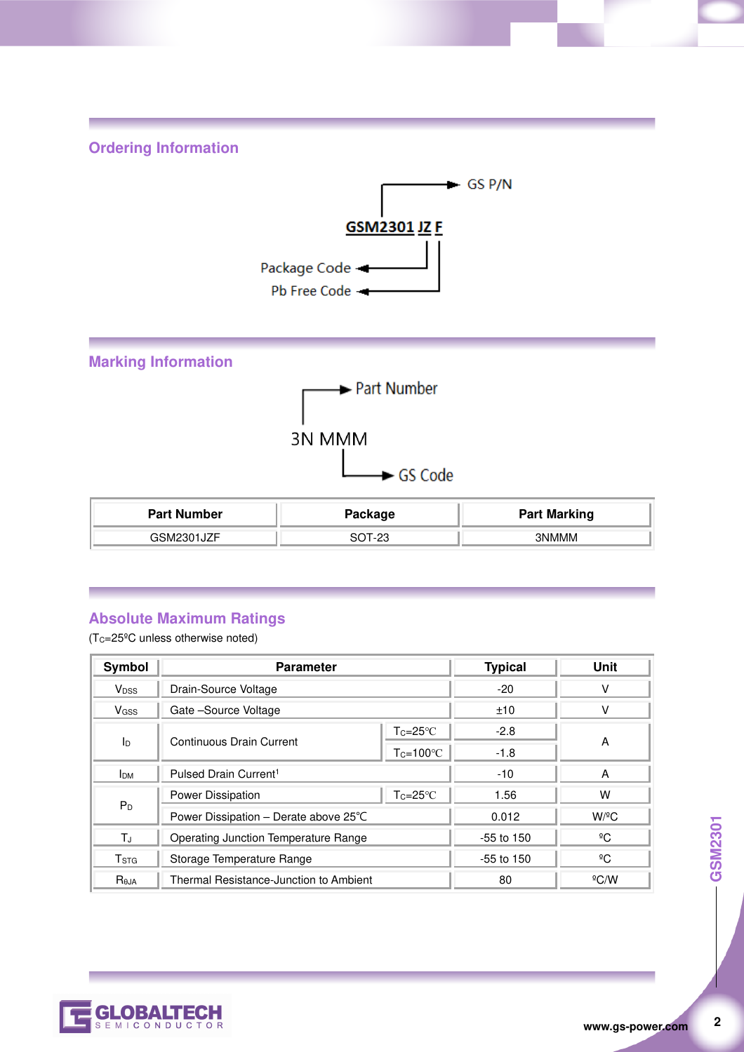**Ordering Information** 





# **Absolute Maximum Ratings**

(TC=25ºC unless otherwise noted)

| Symbol                  | <b>Parameter</b>                       |                    | <b>Typical</b> | Unit                 |  |
|-------------------------|----------------------------------------|--------------------|----------------|----------------------|--|
| <b>V</b> <sub>DSS</sub> | Drain-Source Voltage                   |                    | $-20$          | ν                    |  |
| <b>V</b> <sub>GSS</sub> | Gate-Source Voltage                    |                    | ±10            |                      |  |
| ID                      | Continuous Drain Current               | $Tc = 25^{\circ}C$ | $-2.8$         |                      |  |
|                         |                                        | $Tc=100^{\circ}C$  | $-1.8$         | A                    |  |
| <b>I</b> <sub>DM</sub>  | Pulsed Drain Current <sup>1</sup>      |                    | $-10$          | A                    |  |
|                         | Power Dissipation                      | $Tc = 25^{\circ}C$ | 1.56           | W                    |  |
| P <sub>D</sub>          | Power Dissipation – Derate above 25°C  |                    | 0.012          | $W$ / <sup>o</sup> C |  |
| ТJ                      | Operating Junction Temperature Range   |                    | $-55$ to 150   | ºC                   |  |
| T <sub>STG</sub>        | Storage Temperature Range              |                    | $-55$ to 150   | $^{\circ}$ C         |  |
| Reja                    | Thermal Resistance-Junction to Ambient |                    | 80             | $^{\circ}$ C/W       |  |



 $\overline{2}$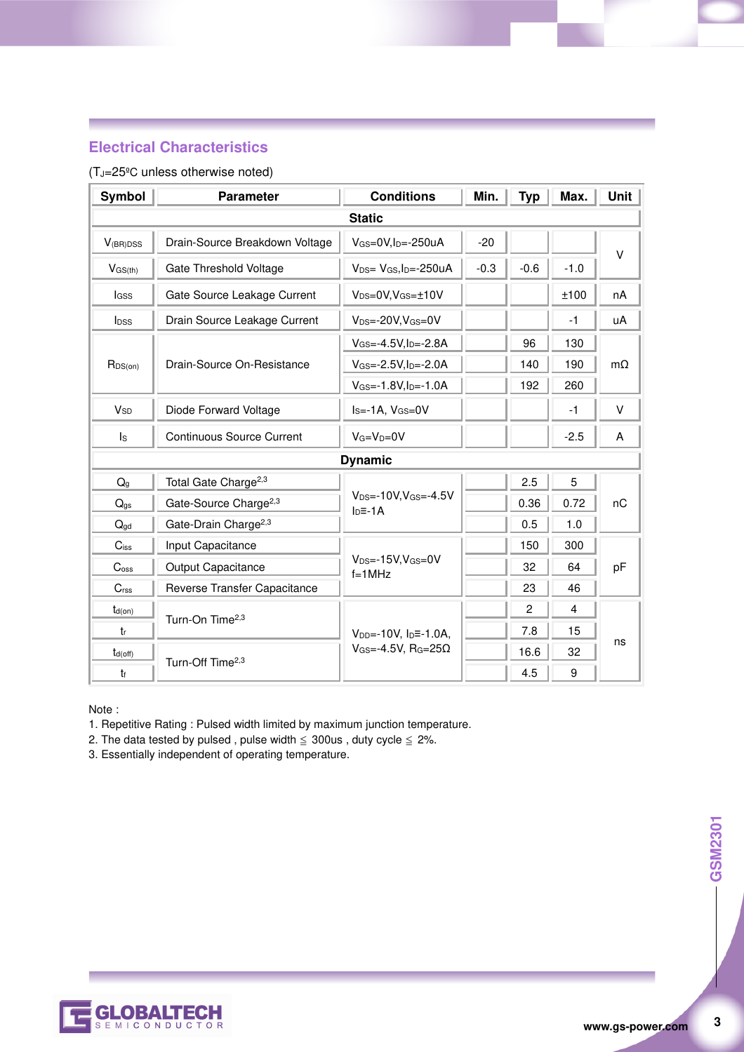### **Electrical Characteristics**

#### (TJ=25ºC unless otherwise noted)

| Symbol                | <b>Parameter</b>                  | <b>Conditions</b>                                     | Min.   | <b>Typ</b>     | Max.           | <b>Unit</b> |  |
|-----------------------|-----------------------------------|-------------------------------------------------------|--------|----------------|----------------|-------------|--|
| <b>Static</b>         |                                   |                                                       |        |                |                |             |  |
| $V_{(BR)DSS}$         | Drain-Source Breakdown Voltage    | $V_{GS}=0V, I_D=-250uA$                               | $-20$  |                |                | V           |  |
| $V_{GS(th)}$          | Gate Threshold Voltage            | $V_{DS} = V_{GS}I_{D} = -250uA$                       | $-0.3$ | $-0.6$         | $-1.0$         |             |  |
| lass                  | Gate Source Leakage Current       | $V_{DS}=0V$ , $V_{GS}=\pm 10V$                        |        |                | ±100           | nA          |  |
| $I_{DSS}$             | Drain Source Leakage Current      | $V_{DS} = -20V$ , $V_{GS} = 0V$                       |        |                | $-1$           | uA          |  |
|                       | Drain-Source On-Resistance        | $V_{GS} = -4.5V, I_D = -2.8A$                         |        | 96             | 130            |             |  |
| $R_{DS(on)}$          |                                   | $V_{GS} = -2.5V, I_D = -2.0A$                         |        | 140            | 190            | $m\Omega$   |  |
|                       |                                   | $V_{GS} = -1.8V, I_D = -1.0A$                         |        | 192            | 260            |             |  |
| <b>V<sub>SD</sub></b> | Diode Forward Voltage             | $IS=-1A, VGS=0V$                                      |        |                | $-1$           | V           |  |
| $\mathsf{ls}$         | Continuous Source Current         | $V_G=V_D=0V$                                          |        |                | $-2.5$         | A           |  |
| <b>Dynamic</b>        |                                   |                                                       |        |                |                |             |  |
| $Q_{q}$               | Total Gate Charge <sup>2,3</sup>  |                                                       |        | 2.5            | 5              | nC          |  |
| $Q_{gs}$              | Gate-Source Charge <sup>2,3</sup> | $V_{DS} = -10V, V_{GS} = -4.5V$<br>$ID=-1A$           |        | 0.36           | 0.72           |             |  |
| $Q_{\text{gd}}$       | Gate-Drain Charge <sup>2,3</sup>  |                                                       |        | 0.5            | 1.0            |             |  |
| $C$ iss               | Input Capacitance                 |                                                       |        | 150            | 300            |             |  |
| C <sub>oss</sub>      | Output Capacitance                | $V_{DS} = -15V$ , $V_{GS} = 0V$<br>$f=1$ MHz          |        | 32             | 64             | pF          |  |
| C <sub>rss</sub>      | Reverse Transfer Capacitance      |                                                       |        | 23             | 46             |             |  |
| $t_{d(on)}$           |                                   |                                                       |        | $\overline{c}$ | $\overline{4}$ | ns          |  |
| $t_{r}$               | Turn-On Time <sup>2,3</sup>       | $V_{DD} = -10V$ , $I_D = -1.0A$ ,                     |        | 7.8            | 15             |             |  |
| $t_{d(off)}$          |                                   | $V$ <sub>GS</sub> =-4.5V, R <sub>G</sub> =25 $\Omega$ |        | 16.6           | 32             |             |  |
| t                     | Turn-Off Time <sup>2,3</sup>      |                                                       |        | 4.5            | 9              |             |  |

Note :

1. Repetitive Rating : Pulsed width limited by maximum junction temperature.

2. The data tested by pulsed , pulse width  $\leq$  300us , duty cycle  $\leq$  2%.

3. Essentially independent of operating temperature.



 $\overline{3}$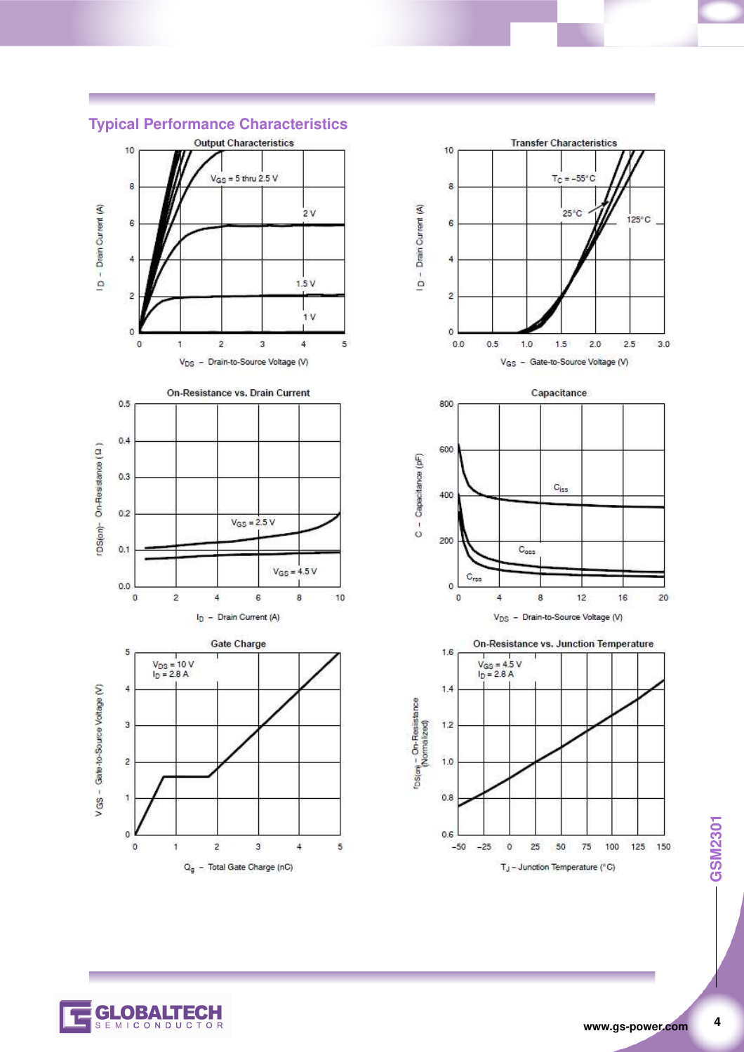

#### **Typical Performance Characteristics**







GSM2301 **4 GSM2301**

 $\overline{\mathbf{4}}$ 

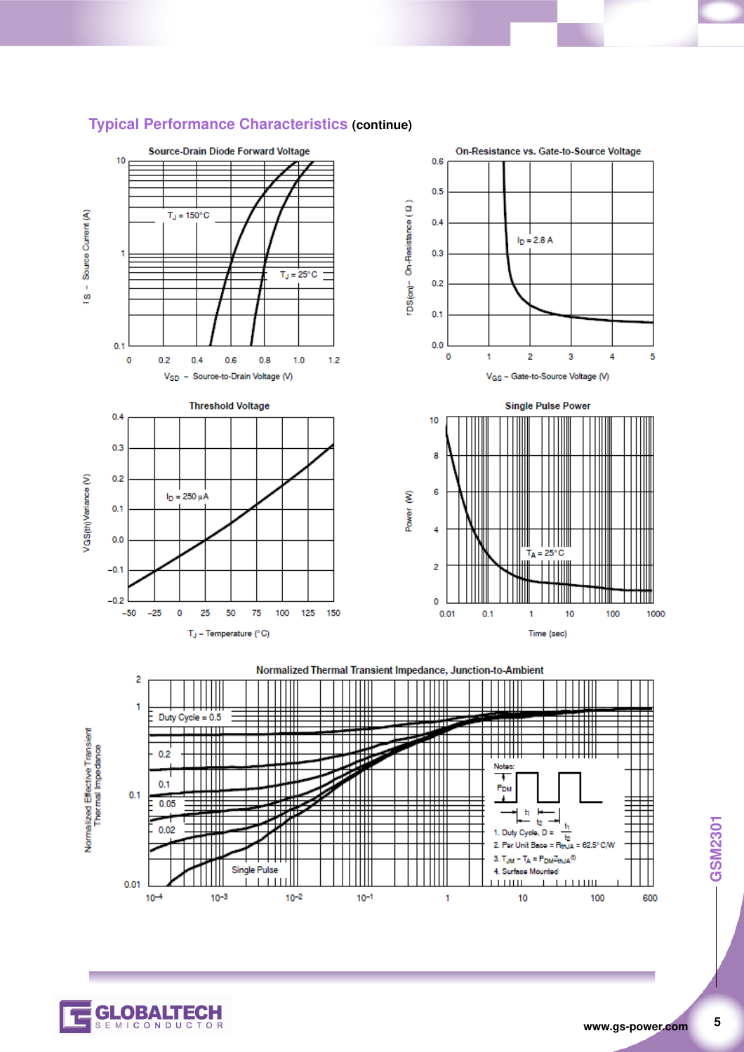

#### **Typical Performance Characteristics (continue)**

5



 $0.01$ 

 $10^{-4}$ 

 $10^{-3}$ 

 $10^{-2}$ 

 $10^{-1}$ 

600

 $111111$ 

10

 $\mathbf{1}$ 

 $\mathbf{I}$  $\overline{1}$  Ш

100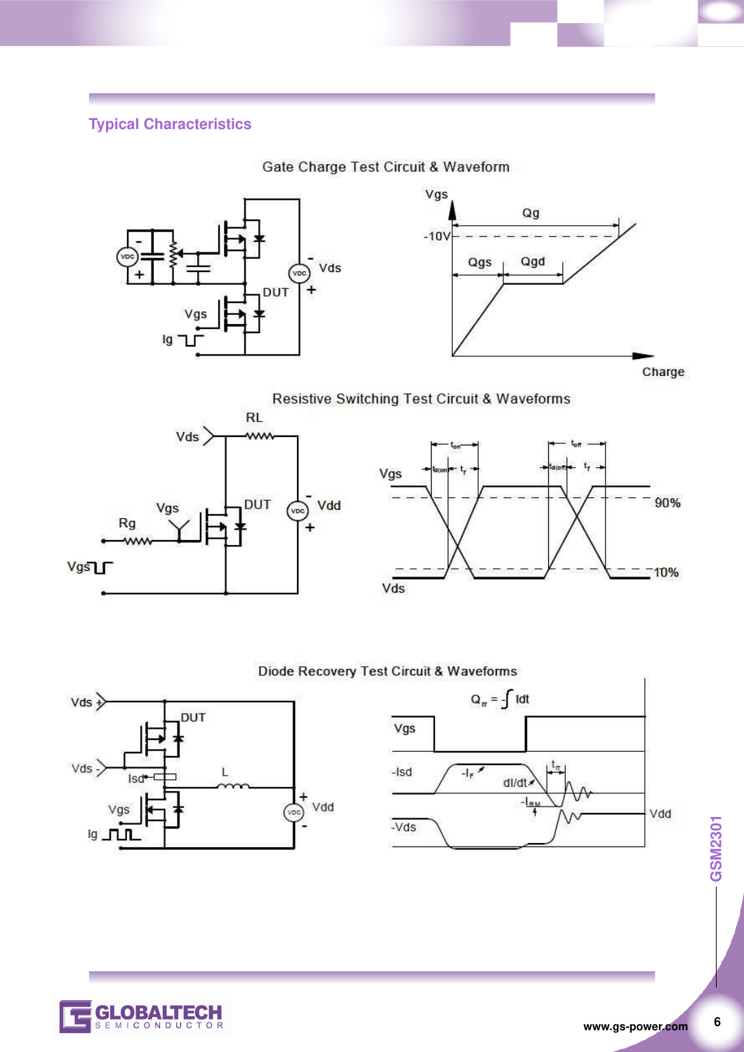## **Typical Characteristics**



Gate Charge Test Circuit & Waveform

Charge

**Resistive Switching Test Circuit & Waveforms** 





#### Diode Recovery Test Circuit & Waveforms





-GSM2301 **6 GSM2301**

 $6\phantom{a}$ 

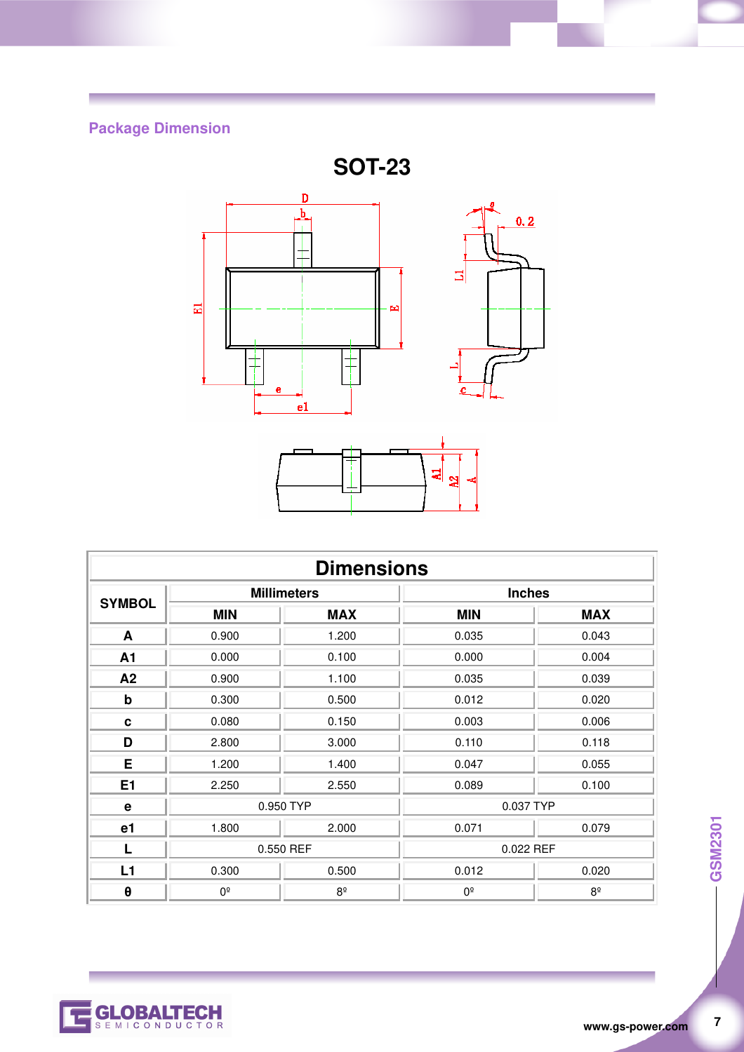# **Package Dimension**



| <b>Dimensions</b> |                    |             |               |             |  |
|-------------------|--------------------|-------------|---------------|-------------|--|
| <b>SYMBOL</b>     | <b>Millimeters</b> |             | <b>Inches</b> |             |  |
|                   | <b>MIN</b>         | <b>MAX</b>  | <b>MIN</b>    | <b>MAX</b>  |  |
| A                 | 0.900              | 1.200       | 0.035         | 0.043       |  |
| A1                | 0.000              | 0.100       | 0.000         | 0.004       |  |
| A2                | 0.900              | 1.100       | 0.035         | 0.039       |  |
| $\mathbf b$       | 0.300              | 0.500       | 0.012         | 0.020       |  |
| C                 | 0.080              | 0.150       | 0.003         | 0.006       |  |
| D                 | 2.800              | 3.000       | 0.110         | 0.118       |  |
| E                 | 1.200              | 1.400       | 0.047         | 0.055       |  |
| E1                | 2.250              | 2.550       | 0.089         | 0.100       |  |
| $\mathbf e$       | 0.950 TYP          |             | 0.037 TYP     |             |  |
| e <sub>1</sub>    | 1.800              | 2.000       | 0.071         | 0.079       |  |
| L                 | 0.550 REF          |             | 0.022 REF     |             |  |
| L1                | 0.300              | 0.500       | 0.012         | 0.020       |  |
| $\pmb{\theta}$    | $0^{\circ}$        | $8^{\circ}$ | $0^{\circ}$   | $8^{\circ}$ |  |

 $\overline{7}$